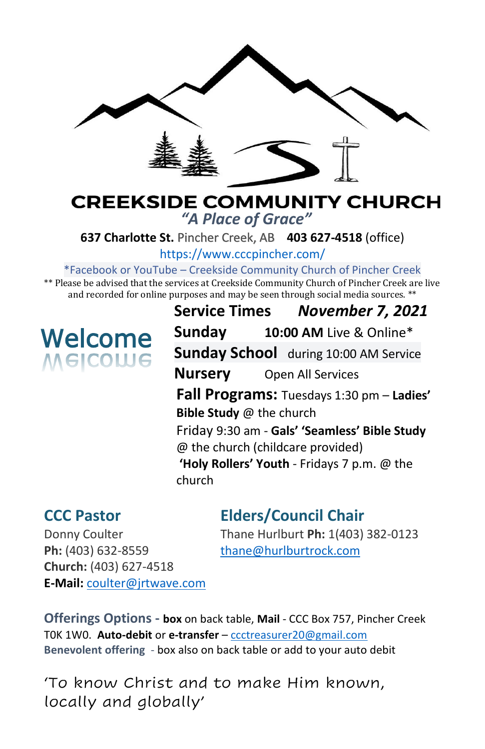

# **CREEKSIDE COMMUNITY CHURCH** *"A Place of Grace"*

**637 Charlotte St.** Pincher Creek, AB **403 627-4518** (office)

<https://www.cccpincher.com/>

\*Facebook or YouTube – Creekside Community Church of Pincher Creek

\*\* Please be advised that the services at Creekside Community Church of Pincher Creek are live and recorded for online purposes and may be seen through social media sources. \*\*

# **Welcome**<br>Melcowe

**Service Times** *November 7, 2021* **Sunday 10:00 AM** Live & Online\* **Sunday School** during 10:00 AM Service **Nursery** Open All Services **Fall Programs:** Tuesdays 1:30 pm – **Ladies' Bible Study** @ the church Friday 9:30 am - **Gals' 'Seamless' Bible Study**  @ the church (childcare provided) **'Holy Rollers' Youth** - Fridays 7 p.m. @ the church

# **CCC Pastor Elders/Council Chair**

Ph: (403) 632-8559 [thane@hurlburtrock.com](mailto:thane@hurlburtrock.com) **Church:** (403) 627-4518 **E-Mail:** [coulter@jrtwave.com](mailto:coulter@jrtwave.com)

Donny Coulter Thane Hurlburt **Ph:** 1(403) 382-0123

**Offerings Options - box** on back table, **Mail** - CCC Box 757, Pincher Creek T0K 1W0. **Auto-debit** or **e-transfer** – [ccctreasurer20@gmail.com](mailto:ccctreasurer20@gmail.com) **Benevolent offering** - box also on back table or add to your auto debit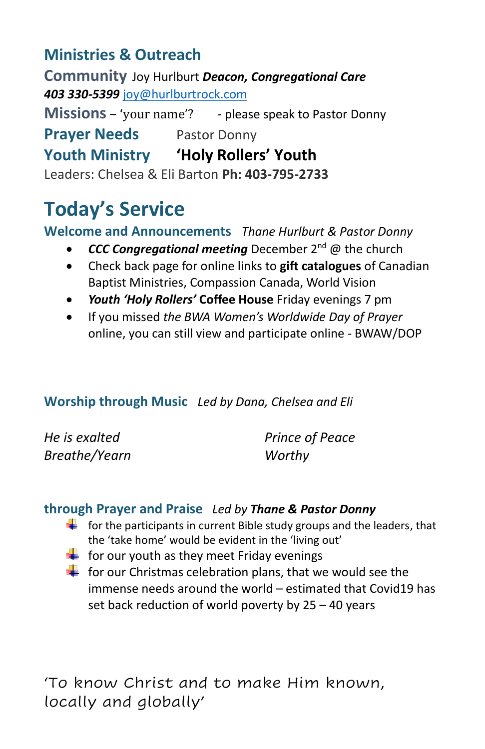# **Ministries & Outreach**

**Community** Joy Hurlburt *Deacon, Congregational Care 403 330-5399* [joy@hurlburtrock.com](mailto:joy@hurlburtrock.com)

**Missions** – 'your name'? - please speak to Pastor Donny **Prayer Needs** Pastor Donny **Youth Ministry 'Holy Rollers' Youth** Leaders: Chelsea & Eli Barton **Ph: 403-795-2733**

# **Today's Service**

# **Welcome and Announcements** *Thane Hurlburt & Pastor Donny*

- *CCC Congregational meeting* December 2nd @ the church
- Check back page for online links to **gift catalogues** of Canadian Baptist Ministries, Compassion Canada, World Vision
- *Youth 'Holy Rollers'* **Coffee House** Friday evenings 7 pm
- If you missed *the BWA Women's Worldwide Day of Prayer* online, you can still view and participate online - BWAW/DOP

# **Worship through Music** *Led by Dana, Chelsea and Eli*

| He is exalted | Prince of Peace |
|---------------|-----------------|
| Breathe/Yearn | Worthy          |

# **through Prayer and Praise** *Led by Thane & Pastor Donny*

- $\frac{1}{\sqrt{1}}$  for the participants in current Bible study groups and the leaders, that the 'take home' would be evident in the 'living out'
- $\div$  for our youth as they meet Friday evenings
- $\frac{1}{\sqrt{1}}$  for our Christmas celebration plans, that we would see the immense needs around the world – estimated that Covid19 has set back reduction of world poverty by 25 – 40 years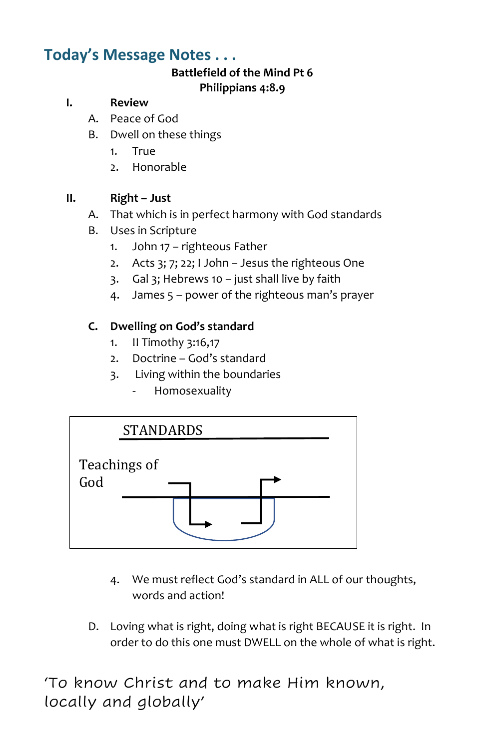# **Today's Message Notes . . .**

#### **Battlefield of the Mind Pt 6 Philippians 4:8.9**

#### **I. Review**

- A. Peace of God
- B. Dwell on these things
	- 1. True
	- 2. Honorable

#### **II. Right – Just**

- A. That which is in perfect harmony with God standards
- B. Uses in Scripture
	- 1. John 17 righteous Father
	- 2. Acts 3; 7; 22; I John Jesus the righteous One
	- 3. Gal 3; Hebrews 10 just shall live by faith
	- 4. James 5 power of the righteous man's prayer

# **C. Dwelling on God's standard**

- 1. II Timothy 3:16,17
- 2. Doctrine God's standard
- 3. Living within the boundaries
	- Homosexuality



- 4. We must reflect God's standard in ALL of our thoughts, words and action!
- D. Loving what is right, doing what is right BECAUSE it is right. In order to do this one must DWELL on the whole of what is right.